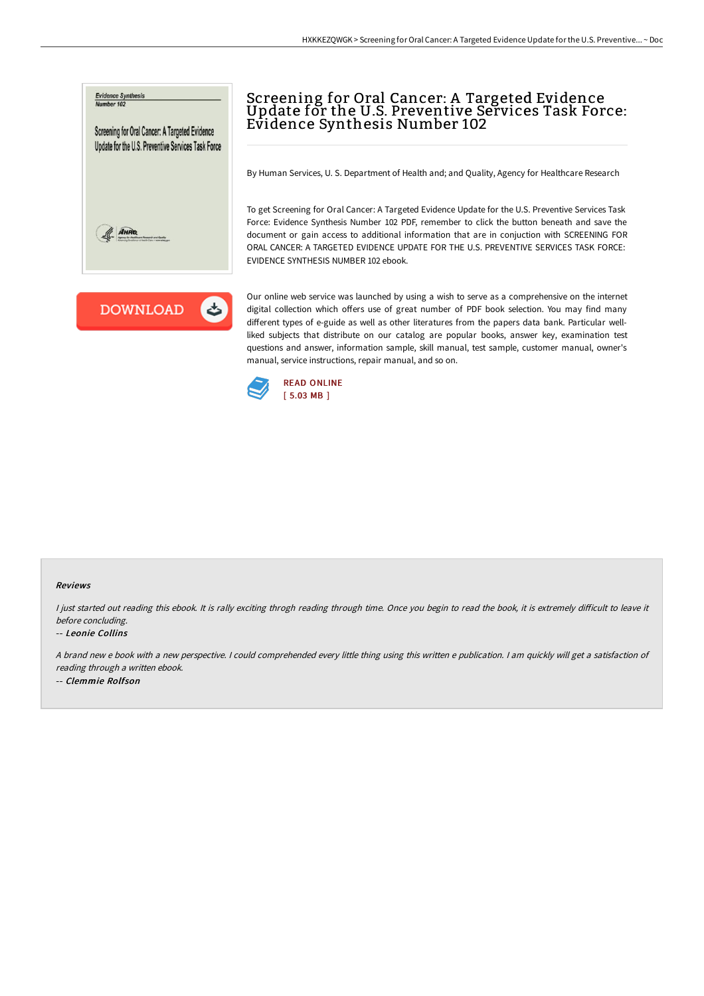



# Screening for Oral Cancer: A Targeted Evidence Update for the U.S. Preventive Services Task Force: Evidence Synthesis Number 102

By Human Services, U. S. Department of Health and; and Quality, Agency for Healthcare Research

To get Screening for Oral Cancer: A Targeted Evidence Update for the U.S. Preventive Services Task Force: Evidence Synthesis Number 102 PDF, remember to click the button beneath and save the document or gain access to additional information that are in conjuction with SCREENING FOR ORAL CANCER: A TARGETED EVIDENCE UPDATE FOR THE U.S. PREVENTIVE SERVICES TASK FORCE: EVIDENCE SYNTHESIS NUMBER 102 ebook.

Our online web service was launched by using a wish to serve as a comprehensive on the internet digital collection which offers use of great number of PDF book selection. You may find many different types of e-guide as well as other literatures from the papers data bank. Particular wellliked subjects that distribute on our catalog are popular books, answer key, examination test questions and answer, information sample, skill manual, test sample, customer manual, owner's manual, service instructions, repair manual, and so on.



#### Reviews

I just started out reading this ebook. It is rally exciting throgh reading through time. Once you begin to read the book, it is extremely difficult to leave it before concluding.

#### -- Leonie Collins

<sup>A</sup> brand new <sup>e</sup> book with <sup>a</sup> new perspective. <sup>I</sup> could comprehended every little thing using this written <sup>e</sup> publication. <sup>I</sup> am quickly will get <sup>a</sup> satisfaction of reading through <sup>a</sup> written ebook.

-- Clemmie Rolfson